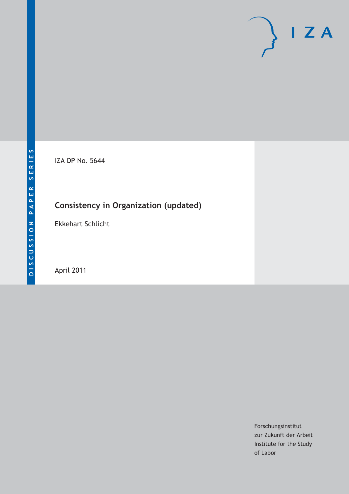# $I Z A$

IZA DP No. 5644

# **Consistency in Organization (updated)**

Ekkehart Schlicht

April 2011

Forschungsinstitut zur Zukunft der Arbeit Institute for the Study of Labor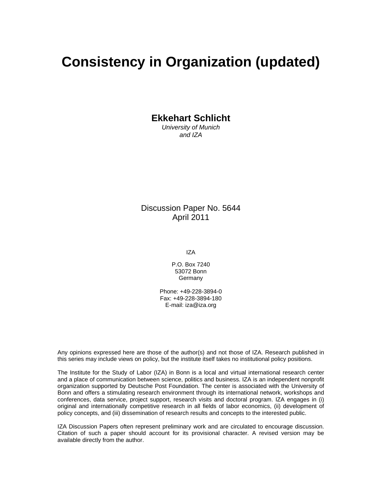# **Consistency in Organization (updated)**

**Ekkehart Schlicht** 

*University of Munich and IZA* 

Discussion Paper No. 5644 April 2011

IZA

P.O. Box 7240 53072 Bonn **Germany** 

Phone: +49-228-3894-0 Fax: +49-228-3894-180 E-mail: iza@iza.org

Any opinions expressed here are those of the author(s) and not those of IZA. Research published in this series may include views on policy, but the institute itself takes no institutional policy positions.

The Institute for the Study of Labor (IZA) in Bonn is a local and virtual international research center and a place of communication between science, politics and business. IZA is an independent nonprofit organization supported by Deutsche Post Foundation. The center is associated with the University of Bonn and offers a stimulating research environment through its international network, workshops and conferences, data service, project support, research visits and doctoral program. IZA engages in (i) original and internationally competitive research in all fields of labor economics, (ii) development of policy concepts, and (iii) dissemination of research results and concepts to the interested public.

IZA Discussion Papers often represent preliminary work and are circulated to encourage discussion. Citation of such a paper should account for its provisional character. A revised version may be available directly from the author.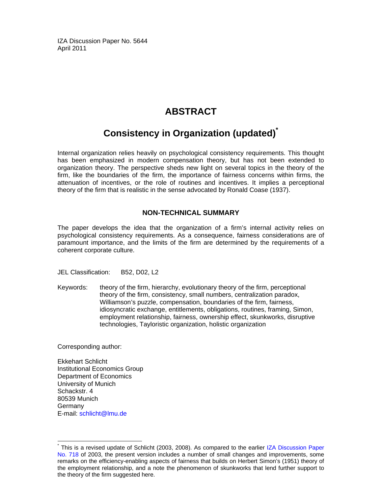IZA Discussion Paper No. 5644 April 2011

### **ABSTRACT**

## **Consistency in Organization (updated)\***

Internal organization relies heavily on psychological consistency requirements. This thought has been emphasized in modern compensation theory, but has not been extended to organization theory. The perspective sheds new light on several topics in the theory of the firm, like the boundaries of the firm, the importance of fairness concerns within firms, the attenuation of incentives, or the role of routines and incentives. It implies a perceptional theory of the firm that is realistic in the sense advocated by Ronald Coase (1937).

#### **NON-TECHNICAL SUMMARY**

The paper develops the idea that the organization of a firm's internal activity relies on psychological consistency requirements. As a consequence, fairness considerations are of paramount importance, and the limits of the firm are determined by the requirements of a coherent corporate culture.

JEL Classification: B52, D02, L2

Keywords: theory of the firm, hierarchy, evolutionary theory of the firm, perceptional theory of the firm, consistency, small numbers, centralization paradox, Williamson's puzzle, compensation, boundaries of the firm, fairness, idiosyncratic exchange, entitlements, obligations, routines, framing, Simon, employment relationship, fairness, ownership effect, skunkworks, disruptive technologies, Tayloristic organization, holistic organization

Corresponding author:

-

Ekkehart Schlicht Institutional Economics Group Department of Economics University of Munich Schackstr, 4 80539 Munich Germany E-mail: schlicht@lmu.de

<sup>\*</sup> This is a revised update of Schlicht (2003, 2008). As compared to the earlier IZA Discussion Paper No. 718 of 2003, the present version includes a number of small changes and improvements, some remarks on the efficiency-enabling aspects of fairness that builds on Herbert Simon's (1951) theory of the employment relationship, and a note the phenomenon of skunkworks that lend further support to the theory of the firm suggested here.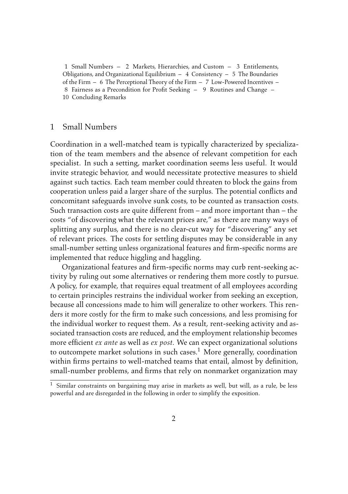1 Small Numbers – 2 [Markets, Hierarchies, and Custom](#page-4-0) – 3 [Entitlements,](#page-6-0) [Obligations, and Organizational Equilibrium](#page-6-0)  $-4$  [Consistency](#page-9-0)  $-5$  [The Boundaries](#page-11-0) [of the Firm](#page-11-0) – 6 [The Perceptional Theory of the Firm](#page-12-0) – 7 [Low-Powered Incentives](#page-13-0) – 8 [Fairness as a Precondition for Profit Seeking](#page-13-0) – 9 [Routines and Change](#page-16-0) – 10 [Concluding Remarks](#page-17-0)

#### 1 Small Numbers

Coordination in a well-matched team is typically characterized by specialization of the team members and the absence of relevant competition for each specialist. In such a setting, market coordination seems less useful. It would invite strategic behavior, and would necessitate protective measures to shield against such tactics. Each team member could threaten to block the gains from cooperation unless paid a larger share of the surplus. The potential conflicts and concomitant safeguards involve sunk costs, to be counted as transaction costs. Such transaction costs are quite different from – and more important than – the costs "of discovering what the relevant prices are," as there are many ways of splitting any surplus, and there is no clear-cut way for "discovering" any set of relevant prices. The costs for settling disputes may be considerable in any small-number setting unless organizational features and firm-specific norms are implemented that reduce higgling and haggling.

Organizational features and firm-specific norms may curb rent-seeking activity by ruling out some alternatives or rendering them more costly to pursue. A policy, for example, that requires equal treatment of all employees according to certain principles restrains the individual worker from seeking an exception, because all concessions made to him will generalize to other workers. This renders it more costly for the firm to make such concessions, and less promising for the individual worker to request them. As a result, rent-seeking activity and associated transaction costs are reduced, and the employment relationship becomes more efficient *ex ante* as well as *ex post*. We can expect organizational solutions to outcompete market solutions in such cases.<sup>1</sup> More generally, coordination within firms pertains to well-matched teams that entail, almost by definition, small-number problems, and firms that rely on nonmarket organization may

 $^1\,$  Similar constraints on bargaining may arise in markets as well, but will, as a rule, be less powerful and are disregarded in the following in order to simplify the exposition.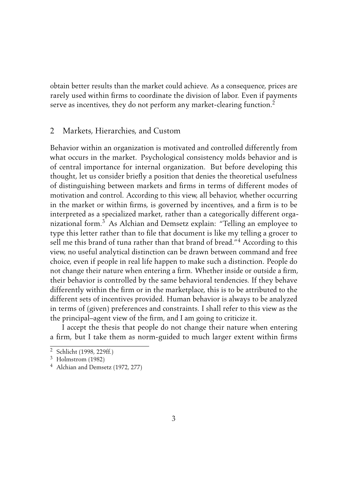<span id="page-4-0"></span>obtain better results than the market could achieve. As a consequence, prices are rarely used within firms to coordinate the division of labor. Even if payments serve as incentives, they do not perform any market-clearing function.<sup>2</sup>

#### 2 Markets, Hierarchies, and Custom

Behavior within an organization is motivated and controlled differently from what occurs in the market. Psychological consistency molds behavior and is of central importance for internal organization. But before developing this thought, let us consider briefly a position that denies the theoretical usefulness of distinguishing between markets and firms in terms of different modes of motivation and control. According to this view, all behavior, whether occurring in the market or within firms, is governed by incentives, and a firm is to be interpreted as a specialized market, rather than a categorically different organizational form.<sup>3</sup> As [Alchian and Demsetz](#page-18-0) explain: "Telling an employee to type this letter rather than to file that document is like my telling a grocer to sell me this brand of tuna rather than that brand of bread."<sup>4</sup> According to this view, no useful analytical distinction can be drawn between command and free choice, even if people in real life happen to make such a distinction. People do not change their nature when entering a firm. Whether inside or outside a firm, their behavior is controlled by the same behavioral tendencies. If they behave differently within the firm or in the marketplace, this is to be attributed to the different sets of incentives provided. Human behavior is always to be analyzed in terms of (given) preferences and constraints. I shall refer to this view as the the principal–agent view of the firm, and I am going to criticize it.

I accept the thesis that people do not change their nature when entering a firm, but I take them as norm-guided to much larger extent within firms

<sup>2</sup> [Schlicht](#page-22-0) [\(1998,](#page-22-0) 229ff.)

<sup>3</sup> [Holmstrom](#page-20-0) [\(1982\)](#page-20-0)

<sup>4</sup> [Alchian and Demsetz](#page-18-0) [\(1972,](#page-18-0) 277)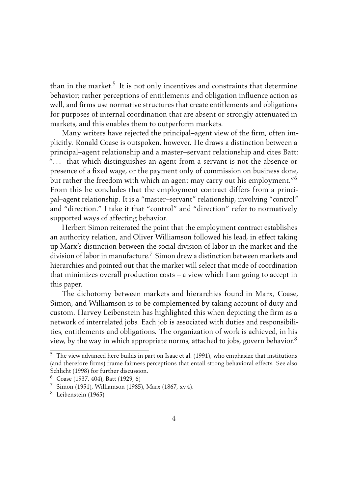than in the market.<sup>5</sup> It is not only incentives and constraints that determine behavior; rather perceptions of entitlements and obligation influence action as well, and firms use normative structures that create entitlements and obligations for purposes of internal coordination that are absent or strongly attenuated in markets, and this enables them to outperform markets.

Many writers have rejected the principal–agent view of the firm, often implicitly. Ronald [Coase](#page-19-0) is outspoken, however. He draws a distinction between a principal–agent relationship and a master–servant relationship and cites [Batt:](#page-18-0) ". . . that which distinguishes an agent from a servant is not the absence or presence of a fixed wage, or the payment only of commission on business done, but rather the freedom with which an agent may carry out his employment."<sup>6</sup> From this he concludes that the employment contract differs from a principal–agent relationship. It is a "master–servant" relationship, involving "control" and "direction." I take it that "control" and "direction" refer to normatively supported ways of affecting behavior.

Herbert [Simon](#page-22-0) reiterated the point that the employment contract establishes an authority relation, and Oliver Williamson followed his lead, in effect taking up Marx's distinction between the social division of labor in the market and the division of labor in manufacture.<sup>7</sup> Simon drew a distinction between markets and hierarchies and pointed out that the market will select that mode of coordination that minimizes overall production costs – a view which I am going to accept in this paper.

The dichotomy between markets and hierarchies found in Marx, Coase, Simon, and Williamson is to be complemented by taking account of duty and custom. Harvey [Leibenstein](#page-20-0) has highlighted this when depicting the firm as a network of interrelated jobs. Each job is associated with duties and responsibilities, entitlements and obligations. The organization of work is achieved, in his view, by the way in which appropriate norms, attached to jobs, govern behavior.<sup>8</sup>

<sup>5</sup> The view advanced here builds in part on [Isaac et al.](#page-20-0) [\(1991\)](#page-20-0), who emphasize that institutions (and therefore firms) frame fairness perceptions that entail strong behavioral effects. See also [Schlicht](#page-22-0) [\(1998\)](#page-22-0) for further discussion.

<sup>6</sup> [Coase](#page-19-0) [\(1937,](#page-19-0) 404), [Batt](#page-18-0) [\(1929,](#page-18-0) 6)

<sup>7</sup> [Simon](#page-22-0) [\(1951\)](#page-22-0), [Williamson](#page-23-0) [\(1985\)](#page-23-0), [Marx](#page-21-0) [\(1867,](#page-21-0) xv.4).

<sup>8</sup> [Leibenstein](#page-20-0) [\(1965\)](#page-20-0)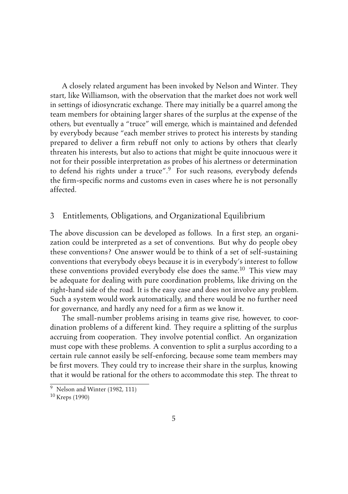<span id="page-6-0"></span>A closely related argument has been invoked by [Nelson and Winter.](#page-22-0) They start, like Williamson, with the observation that the market does not work well in settings of idiosyncratic exchange. There may initially be a quarrel among the team members for obtaining larger shares of the surplus at the expense of the others, but eventually a "truce" will emerge, which is maintained and defended by everybody because "each member strives to protect his interests by standing prepared to deliver a firm rebuff not only to actions by others that clearly threaten his interests, but also to actions that might be quite innocuous were it not for their possible interpretation as probes of his alertness or determination to defend his rights under a truce".<sup>9</sup> For such reasons, everybody defends the firm-specific norms and customs even in cases where he is not personally affected.

#### 3 Entitlements, Obligations, and Organizational Equilibrium

The above discussion can be developed as follows. In a first step, an organization could be interpreted as a set of conventions. But why do people obey these conventions? One answer would be to think of a set of self-sustaining conventions that everybody obeys because it is in everybody's interest to follow these conventions provided everybody else does the same.<sup>10</sup> This view may be adequate for dealing with pure coordination problems, like driving on the right-hand side of the road. It is the easy case and does not involve any problem. Such a system would work automatically, and there would be no further need for governance, and hardly any need for a firm as we know it.

The small-number problems arising in teams give rise, however, to coordination problems of a different kind. They require a splitting of the surplus accruing from cooperation. They involve potential conflict. An organization must cope with these problems. A convention to split a surplus according to a certain rule cannot easily be self-enforcing, because some team members may be first movers. They could try to increase their share in the surplus, knowing that it would be rational for the others to accommodate this step. The threat to

<sup>9</sup> [Nelson and Winter](#page-22-0) [\(1982,](#page-22-0) 111)

<sup>10</sup> [Kreps](#page-20-0) [\(1990\)](#page-20-0)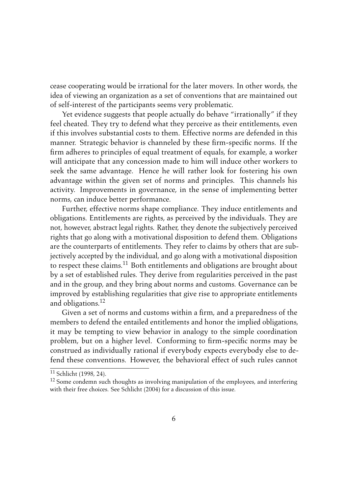cease cooperating would be irrational for the later movers. In other words, the idea of viewing an organization as a set of conventions that are maintained out of self-interest of the participants seems very problematic.

Yet evidence suggests that people actually do behave "irrationally" if they feel cheated. They try to defend what they perceive as their entitlements, even if this involves substantial costs to them. Effective norms are defended in this manner. Strategic behavior is channeled by these firm-specific norms. If the firm adheres to principles of equal treatment of equals, for example, a worker will anticipate that any concession made to him will induce other workers to seek the same advantage. Hence he will rather look for fostering his own advantage within the given set of norms and principles. This channels his activity. Improvements in governance, in the sense of implementing better norms, can induce better performance.

Further, effective norms shape compliance. They induce entitlements and obligations. Entitlements are rights, as perceived by the individuals. They are not, however, abstract legal rights. Rather, they denote the subjectively perceived rights that go along with a motivational disposition to defend them. Obligations are the counterparts of entitlements. They refer to claims by others that are subjectively accepted by the individual, and go along with a motivational disposition to respect these claims.<sup>11</sup> Both entitlements and obligations are brought about by a set of established rules. They derive from regularities perceived in the past and in the group, and they bring about norms and customs. Governance can be improved by establishing regularities that give rise to appropriate entitlements and obligations.<sup>12</sup>

Given a set of norms and customs within a firm, and a preparedness of the members to defend the entailed entitlements and honor the implied obligations, it may be tempting to view behavior in analogy to the simple coordination problem, but on a higher level. Conforming to firm-specific norms may be construed as individually rational if everybody expects everybody else to defend these conventions. However, the behavioral effect of such rules cannot

<sup>11</sup> [Schlicht](#page-22-0) [\(1998,](#page-22-0) 24).

 $12$  Some condemn such thoughts as involving manipulation of the employees, and interfering with their free choices. See [Schlicht](#page-22-0) [\(2004\)](#page-22-0) for a discussion of this issue.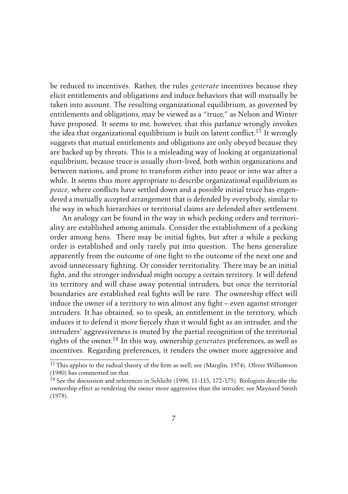be reduced to incentives. Rather, the rules *generate* incentives because they elicit entitlements and obligations and induce behaviors that will mutually be taken into account. The resulting organizational equilibrium, as governed by entitlements and obligations, may be viewed as a "truce," as Nelson and Winter have proposed. It seems to me, however, that this parlance wrongly invokes the idea that organizational equilibrium is built on latent conflict.<sup>13</sup> It wrongly suggests that mutual entitlements and obligations are only obeyed because they are backed up by threats. This is a misleading way of looking at organizational equilibrium, because truce is usually short-lived, both within organizations and between nations, and prone to transform either into peace or into war after a while. It seems thus more appropriate to describe organizational equilibrium as *peace*, where conflicts have settled down and a possible initial truce has engendered a mutually accepted arrangement that is defended by everybody, similar to the way in which hierarchies or territorial claims are defended after settlement.

An analogy can be found in the way in which pecking orders and territoriality are established among animals. Consider the establishment of a pecking order among hens. There may be initial fights, but after a while a pecking order is established and only rarely put into question. The hens generalize apparently from the outcome of one fight to the outcome of the next one and avoid unnecessary fighting. Or consider territoriality. There may be an initial fight, and the stronger individual might occupy a certain territory. It will defend its territory and will chase away potential intruders, but once the territorial boundaries are established real fights will be rare. The ownership effect will induce the owner of a territory to win almost any fight – even against stronger intruders. It has obtained, so to speak, an entitlement in the territory, which induces it to defend it more fiercely than it would fight as an intruder, and the intruders' aggressiveness is muted by the partial recognition of the territorial rights of the owner.<sup>14</sup> In this way, ownership *generates* preferences, as well as incentives. Regarding preferences, it renders the owner more aggressive and

<sup>&</sup>lt;sup>13</sup> This applies to the radical theory of the firm as well; see [\(Marglin,](#page-21-0) [1974\)](#page-21-0). Oliver [Williamson](#page-23-0) [\(1980\)](#page-23-0) has commented on that.

<sup>14</sup> See the discussion and references in [Schlicht](#page-22-0) [\(1998,](#page-22-0) 11-115, 172-175). Biologists describe the ownership effect as rendering the owner more aggressive than the intruder; see [Maynard Smith](#page-21-0) [\(1978\)](#page-21-0).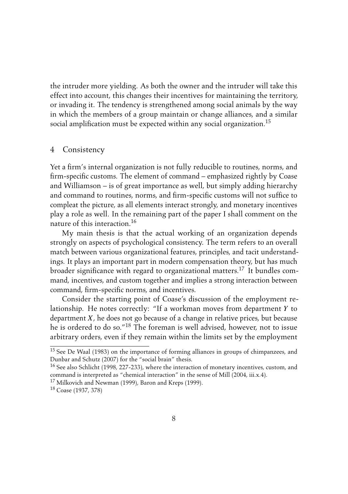<span id="page-9-0"></span>the intruder more yielding. As both the owner and the intruder will take this effect into account, this changes their incentives for maintaining the territory, or invading it. The tendency is strengthened among social animals by the way in which the members of a group maintain or change alliances, and a similar social amplification must be expected within any social organization.<sup>15</sup>

#### 4 Consistency

Yet a firm's internal organization is not fully reducible to routines, norms, and firm-specific customs. The element of command – emphasized rightly by Coase and Williamson – is of great importance as well, but simply adding hierarchy and command to routines, norms, and firm-specific customs will not suffice to compleat the picture, as all elements interact strongly, and monetary incentives play a role as well. In the remaining part of the paper I shall comment on the nature of this interaction.<sup>16</sup>

My main thesis is that the actual working of an organization depends strongly on aspects of psychological consistency. The term refers to an overall match between various organizational features, principles, and tacit understandings. It plays an important part in modern compensation theory, but has much broader significance with regard to organizational matters.<sup>17</sup> It bundles command, incentives, and custom together and implies a strong interaction between command, firm-specific norms, and incentives.

Consider the starting point of [Coase'](#page-19-0)s discussion of the employment relationship. He notes correctly: "If a workman moves from department *Y* to department *X*, he does not go because of a change in relative prices, but because he is ordered to do so."<sup>18</sup> The foreman is well advised, however, not to issue arbitrary orders, even if they remain within the limits set by the employment

<sup>15</sup> See [De Waal](#page-19-0) [\(1983\)](#page-19-0) on the importance of forming alliances in groups of chimpanzees, and [Dunbar and Schutz](#page-19-0) [\(2007\)](#page-19-0) for the "social brain" thesis.

<sup>&</sup>lt;sup>16</sup> See also [Schlicht](#page-22-0) [\(1998,](#page-22-0) 227-233), where the interaction of monetary incentives, custom, and command is interpreted as "chemical interaction" in the sense of [Mill](#page-21-0) [\(2004,](#page-21-0) iii.x.4).

<sup>&</sup>lt;sup>17</sup> [Milkovich and Newman](#page-21-0) [\(1999\)](#page-18-0), [Baron and Kreps](#page-18-0) (1999).

<sup>18</sup> [Coase](#page-19-0) [\(1937,](#page-19-0) 378)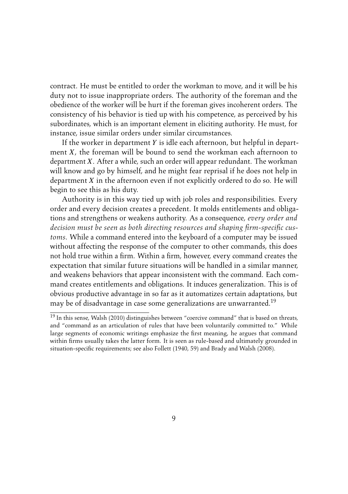contract. He must be entitled to order the workman to move, and it will be his duty not to issue inappropriate orders. The authority of the foreman and the obedience of the worker will be hurt if the foreman gives incoherent orders. The consistency of his behavior is tied up with his competence, as perceived by his subordinates, which is an important element in eliciting authority. He must, for instance, issue similar orders under similar circumstances.

If the worker in department *Y* is idle each afternoon, but helpful in department *X*, the foreman will be bound to send the workman each afternoon to department *X*. After a while, such an order will appear redundant. The workman will know and go by himself, and he might fear reprisal if he does not help in department *X* in the afternoon even if not explicitly ordered to do so. He will begin to see this as his duty.

Authority is in this way tied up with job roles and responsibilities. Every order and every decision creates a precedent. It molds entitlements and obligations and strengthens or weakens authority. As a consequence, *every order and decision must be seen as both directing resources and shaping firm-specific customs*. While a command entered into the keyboard of a computer may be issued without affecting the response of the computer to other commands, this does not hold true within a firm. Within a firm, however, every command creates the expectation that similar future situations will be handled in a similar manner, and weakens behaviors that appear inconsistent with the command. Each command creates entitlements and obligations. It induces generalization. This is of obvious productive advantage in so far as it automatizes certain adaptations, but may be of disadvantage in case some generalizations are unwarranted.<sup>19</sup>

<sup>&</sup>lt;sup>19</sup> In this sense, [Walsh](#page-23-0) [\(2010\)](#page-23-0) distinguishes between "coercive command" that is based on threats, and "command as an articulation of rules that have been voluntarily committed to." While large segments of economic writings emphasize the first meaning, he argues that command within firms usually takes the latter form. It is seen as rule-based and ultimately grounded in situation-specific requirements; see also [Follett](#page-20-0) [\(1940,](#page-20-0) 59) and [Brady and Walsh](#page-19-0) [\(2008\)](#page-19-0).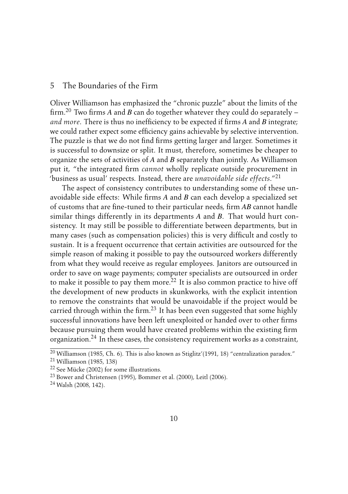#### <span id="page-11-0"></span>5 The Boundaries of the Firm

Oliver Williamson has emphasized the "chronic puzzle" about the limits of the firm.<sup>20</sup> Two firms *A* and *B* can do together whatever they could do separately – *and more*. There is thus no inefficiency to be expected if firms *A* and *B* integrate; we could rather expect some efficiency gains achievable by selective intervention. The puzzle is that we do not find firms getting larger and larger. Sometimes it is successful to downsize or split. It must, therefore, sometimes be cheaper to organize the sets of activities of *A* and *B* separately than jointly. As [Williamson](#page-23-0) put it, "the integrated firm *cannot* wholly replicate outside procurement in 'business as usual' respects. Instead, there are *unavoidable side effects*."<sup>21</sup>

The aspect of consistency contributes to understanding some of these unavoidable side effects: While firms *A* and *B* can each develop a specialized set of customs that are fine-tuned to their particular needs, firm *AB* cannot handle similar things differently in its departments *A* and *B*. That would hurt consistency. It may still be possible to differentiate between departments, but in many cases (such as compensation policies) this is very difficult and costly to sustain. It is a frequent occurrence that certain activities are outsourced for the simple reason of making it possible to pay the outsourced workers differently from what they would receive as regular employees. Janitors are outsourced in order to save on wage payments; computer specialists are outsourced in order to make it possible to pay them more.<sup>22</sup> It is also common practice to hive off the development of new products in skunkworks, with the explicit intention to remove the constraints that would be unavoidable if the project would be carried through within the firm.<sup>23</sup> It has been even suggested that some highly successful innovations have been left unexploited or handed over to other firms because pursuing them would have created problems within the existing firm organization.<sup>24</sup> In these cases, the consistency requirement works as a constraint,

<sup>&</sup>lt;sup>20</sup> [Williamson](#page-23-0) [\(1985,](#page-23-0) Ch. 6). This is also known as Stiglitz'[\(1991,](#page-22-0) 18) "centralization paradox."

<sup>21</sup> [Williamson](#page-23-0) [\(1985,](#page-23-0) 138)

<sup>22</sup> See [Mücke](#page-21-0) [\(2002\)](#page-21-0) for some illustrations.

<sup>23</sup> [Bower and Christensen](#page-19-0) [\(1995\)](#page-19-0), [Bommer et al.](#page-18-0) [\(2000\)](#page-18-0), [Leitl](#page-20-0) [\(2006\)](#page-20-0).

<sup>24</sup> [Walsh](#page-22-0) [\(2008,](#page-22-0) 142).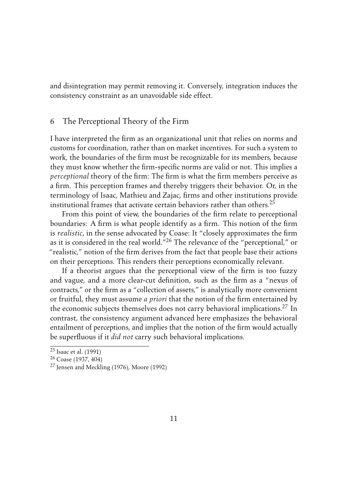<span id="page-12-0"></span>and disintegration may permit removing it. Conversely, integration induces the consistency constraint as an unavoidable side effect.

#### 6 The Perceptional Theory of the Firm

I have interpreted the firm as an organizational unit that relies on norms and customs for coordination, rather than on market incentives. For such a system to work, the boundaries of the firm must be recognizable for its members, because they must know whether the firm-specific norms are valid or not. This implies a *perceptional* theory of the firm: The firm is what the firm members perceive as a firm. This perception frames and thereby triggers their behavior. Or, in the terminology of Isaac, Mathieu and Zajac, firms and other institutions provide institutional frames that activate certain behaviors rather than others.<sup>25</sup>

From this point of view, the boundaries of the firm relate to perceptional boundaries: A firm is what people identify as a firm. This notion of the firm is *realistic*, in the sense advocated by Coase: It "closely approximates the firm as it is considered in the real world."<sup>26</sup> The relevance of the "perceptional," or "realistic," notion of the firm derives from the fact that people base their actions on their perceptions. This renders their perceptions economically relevant.

If a theorist argues that the perceptional view of the firm is too fuzzy and vague, and a more clear-cut definition, such as the firm as a "nexus of contracts," or the firm as a "collection of assets," is analytically more convenient or fruitful, they must assume *a priori* that the notion of the firm entertained by the economic subjects themselves does not carry behavioral implications.<sup>27</sup> In contrast, the consistency argument advanced here emphasizes the behavioral entailment of perceptions, and implies that the notion of the firm would actually be superfluous if it *did not* carry such behavioral implications.

 $25$  [Isaac et al.](#page-20-0) [\(1991\)](#page-20-0)

<sup>26</sup> [Coase](#page-19-0) [\(1937,](#page-19-0) 404)

<sup>27</sup> [Jensen and Meckling](#page-20-0) [\(1976\)](#page-20-0), [Moore](#page-21-0) [\(1992\)](#page-21-0)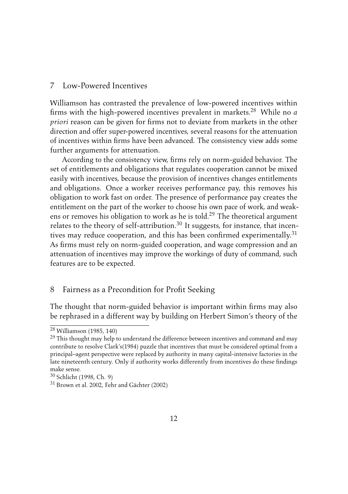#### <span id="page-13-0"></span>7 Low-Powered Incentives

[Williamson](#page-23-0) has contrasted the prevalence of low-powered incentives within firms with the high-powered incentives prevalent in markets.<sup>28</sup> While no *a priori* reason can be given for firms not to deviate from markets in the other direction and offer super-powered incentives, several reasons for the attenuation of incentives within firms have been advanced. The consistency view adds some further arguments for attenuation.

According to the consistency view, firms rely on norm-guided behavior. The set of entitlements and obligations that regulates cooperation cannot be mixed easily with incentives, because the provision of incentives changes entitlements and obligations. Once a worker receives performance pay, this removes his obligation to work fast on order. The presence of performance pay creates the entitlement on the part of the worker to choose his own pace of work, and weakens or removes his obligation to work as he is told.<sup>29</sup> The theoretical argument relates to the theory of self-attribution.<sup>30</sup> It suggests, for instance, that incentives may reduce cooperation, and this has been confirmed experimentally.<sup>31</sup> As firms must rely on norm-guided cooperation, and wage compression and an attenuation of incentives may improve the workings of duty of command, such features are to be expected.

#### 8 Fairness as a Precondition for Profit Seeking

The thought that norm-guided behavior is important within firms may also be rephrased in a different way by building on Herbert [Simon'](#page-22-0)s theory of the

<sup>28</sup> [Williamson](#page-23-0) [\(1985,](#page-23-0) 140)

 $29$  This thought may help to understand the difference between incentives and command and may contribute to resolve Clark's[\(1984\)](#page-19-0) puzzle that incentives that must be considered optimal from a principal–agent perspective were replaced by authority in many capital-intensive factories in the late nineteenth century. Only if authority works differently from incentives do these findings make sense.

<sup>30</sup> [Schlicht](#page-22-0) [\(1998,](#page-22-0) Ch. 9)

<sup>31</sup> [Brown et al.](#page-19-0) [2002,](#page-19-0) [Fehr and Gächter](#page-19-0) [\(2002\)](#page-19-0)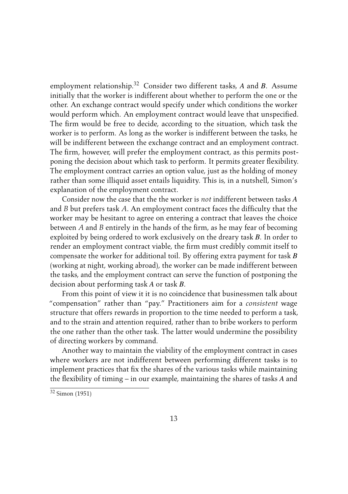employment relationship.<sup>32</sup> Consider two different tasks, *A* and *B*. Assume initially that the worker is indifferent about whether to perform the one or the other. An exchange contract would specify under which conditions the worker would perform which. An employment contract would leave that unspecified. The firm would be free to decide, according to the situation, which task the worker is to perform. As long as the worker is indifferent between the tasks, he will be indifferent between the exchange contract and an employment contract. The firm, however, will prefer the employment contract, as this permits postponing the decision about which task to perform. It permits greater flexibility. The employment contract carries an option value, just as the holding of money rather than some illiquid asset entails liquidity. This is, in a nutshell, Simon's explanation of the employment contract.

Consider now the case that the the worker is *not* indifferent between tasks *A* and *B* but prefers task *A*. An employment contract faces the difficulty that the worker may be hesitant to agree on entering a contract that leaves the choice between *A* and *B* entirely in the hands of the firm, as he may fear of becoming exploited by being ordered to work exclusively on the dreary task *B*. In order to render an employment contract viable, the firm must credibly commit itself to compensate the worker for additional toil. By offering extra payment for task *B* (working at night, working abroad), the worker can be made indifferent between the tasks, and the employment contract can serve the function of postponing the decision about performing task *A* or task *B*.

From this point of view it it is no coincidence that businessmen talk about "compensation" rather than "pay." Practitioners aim for a *consistent* wage structure that offers rewards in proportion to the time needed to perform a task, and to the strain and attention required, rather than to bribe workers to perform the one rather than the other task. The latter would undermine the possibility of directing workers by command.

Another way to maintain the viability of the employment contract in cases where workers are not indifferent between performing different tasks is to implement practices that fix the shares of the various tasks while maintaining the flexibility of timing – in our example, maintaining the shares of tasks *A* and

 $32 \text{ Simon} (1951)$  $32 \text{ Simon} (1951)$  $32 \text{ Simon} (1951)$  $32 \text{ Simon} (1951)$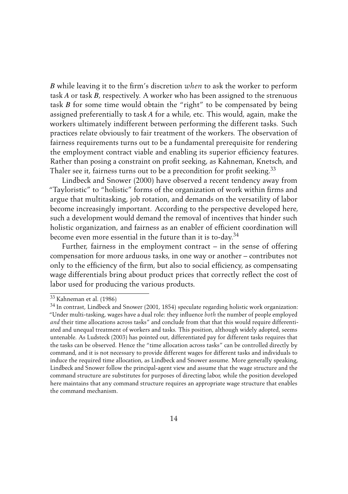*B* while leaving it to the firm's discretion *when* to ask the worker to perform task *A* or task *B*, respectively. A worker who has been assigned to the strenuous task *B* for some time would obtain the "right" to be compensated by being assigned preferentially to task *A* for a while, etc. This would, again, make the workers ultimately indifferent between performing the different tasks. Such practices relate obviously to fair treatment of the workers. The observation of fairness requirements turns out to be a fundamental prerequisite for rendering the employment contract viable and enabling its superior efficiency features. Rather than posing a constraint on profit seeking, as Kahneman, Knetsch, and Thaler see it, fairness turns out to be a precondition for profit seeking.<sup>33</sup>

[Lindbeck and Snower](#page-21-0) [\(2000\)](#page-21-0) have observed a recent tendency away from "Tayloristic" to "holistic" forms of the organization of work within firms and argue that multitasking, job rotation, and demands on the versatility of labor become increasingly important. According to the perspective developed here, such a development would demand the removal of incentives that hinder such holistic organization, and fairness as an enabler of efficient coordination will become even more essential in the future than it is to-day.<sup>34</sup>

Further, fairness in the employment contract – in the sense of offering compensation for more arduous tasks, in one way or another – contributes not only to the efficiency of the firm, but also to social efficiency, as compensating wage differentials bring about product prices that correctly reflect the cost of labor used for producing the various products.

<sup>33</sup> [Kahneman et al.](#page-20-0) [\(1986\)](#page-20-0)

 $34$  In contrast, [Lindbeck and Snower](#page-21-0) [\(2001,](#page-21-0) 1854) speculate regarding holistic work organization: "Under multi-tasking, wages have a dual role: they influence *both* the number of people employed *and* their time allocations across tasks" and conclude from that that this would require differentiated and unequal treatment of workers and tasks. This position, although widely adopted, seems untenable. As [Ludsteck](#page-21-0) [\(2003\)](#page-21-0) has pointed out, differentiated pay for different tasks requires that the tasks can be observed. Hence the "time allocation across tasks" can be controlled directly by command, and it is not necessary to provide different wages for different tasks and individuals to induce the required time allocation, as Lindbeck and Snower assume. More generally speaking, Lindbeck and Snower follow the principal-agent view and assume that the wage structure and the command structure are substitutes for purposes of directing labor, while the position developed here maintains that any command structure requires an appropriate wage structure that enables the command mechanism.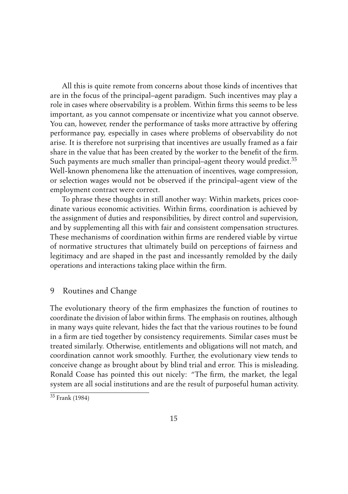<span id="page-16-0"></span>All this is quite remote from concerns about those kinds of incentives that are in the focus of the principal–agent paradigm. Such incentives may play a role in cases where observability is a problem. Within firms this seems to be less important, as you cannot compensate or incentivize what you cannot observe. You can, however, render the performance of tasks more attractive by offering performance pay, especially in cases where problems of observability do not arise. It is therefore not surprising that incentives are usually framed as a fair share in the value that has been created by the worker to the benefit of the firm. Such payments are much smaller than principal–agent theory would predict.<sup>35</sup> Well-known phenomena like the attenuation of incentives, wage compression, or selection wages would not be observed if the principal–agent view of the employment contract were correct.

To phrase these thoughts in still another way: Within markets, prices coordinate various economic activities. Within firms, coordination is achieved by the assignment of duties and responsibilities, by direct control and supervision, and by supplementing all this with fair and consistent compensation structures. These mechanisms of coordination within firms are rendered viable by virtue of normative structures that ultimately build on perceptions of fairness and legitimacy and are shaped in the past and incessantly remolded by the daily operations and interactions taking place within the firm.

#### 9 Routines and Change

The evolutionary theory of the firm emphasizes the function of routines to coordinate the division of labor within firms. The emphasis on routines, although in many ways quite relevant, hides the fact that the various routines to be found in a firm are tied together by consistency requirements. Similar cases must be treated similarly. Otherwise, entitlements and obligations will not match, and coordination cannot work smoothly. Further, the evolutionary view tends to conceive change as brought about by blind trial and error. This is misleading. Ronald [Coase](#page-19-0) has pointed this out nicely: "The firm, the market, the legal system are all social institutions and are the result of purposeful human activity.

<sup>&</sup>lt;sup>35</sup> [Frank](#page-20-0) [\(1984\)](#page-20-0)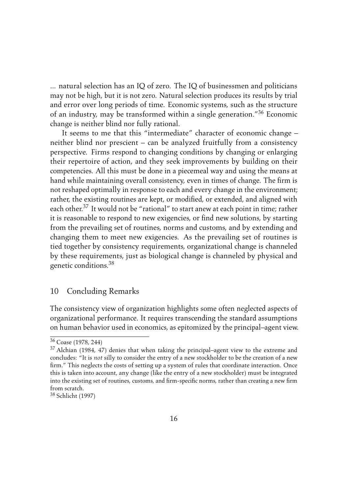<span id="page-17-0"></span>... natural selection has an IQ of zero. The IQ of businessmen and politicians may not be high, but it is not zero. Natural selection produces its results by trial and error over long periods of time. Economic systems, such as the structure of an industry, may be transformed within a single generation."<sup>36</sup> Economic change is neither blind nor fully rational.

It seems to me that this "intermediate" character of economic change – neither blind nor prescient – can be analyzed fruitfully from a consistency perspective. Firms respond to changing conditions by changing or enlarging their repertoire of action, and they seek improvements by building on their competencies. All this must be done in a piecemeal way and using the means at hand while maintaining overall consistency, even in times of change. The firm is not reshaped optimally in response to each and every change in the environment; rather, the existing routines are kept, or modified, or extended, and aligned with each other.<sup>37</sup> It would not be "rational" to start anew at each point in time; rather it is reasonable to respond to new exigencies, or find new solutions, by starting from the prevailing set of routines, norms and customs, and by extending and changing them to meet new exigencies. As the prevailing set of routines is tied together by consistency requirements, organizational change is channeled by these requirements, just as biological change is channeled by physical and genetic conditions.<sup>38</sup>

#### 10 Concluding Remarks

The consistency view of organization highlights some often neglected aspects of organizational performance. It requires transcending the standard assumptions on human behavior used in economics, as epitomized by the principal–agent view.

<sup>36</sup> [Coase](#page-19-0) [\(1978,](#page-19-0) 244)

<sup>37</sup> [Alchian](#page-18-0) [\(1984,](#page-18-0) 47) denies that when taking the principal–agent view to the extreme and concludes: "It is *not* silly to consider the entry of a new stockholder to be the creation of a new firm." This neglects the costs of setting up a system of rules that coordinate interaction. Once this is taken into account, any change (like the entry of a new stockholder) must be integrated into the existing set of routines, customs, and firm-specific norms, rather than creating a new firm from scratch.

<sup>38</sup> [Schlicht](#page-22-0) [\(1997\)](#page-22-0)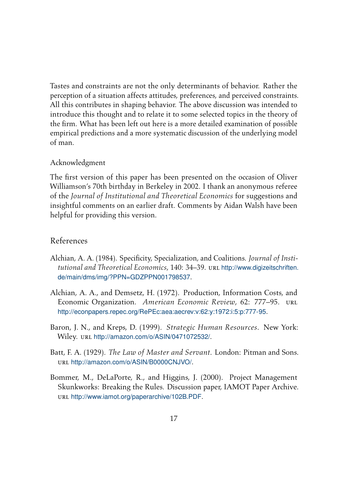<span id="page-18-0"></span>Tastes and constraints are not the only determinants of behavior. Rather the perception of a situation affects attitudes, preferences, and perceived constraints. All this contributes in shaping behavior. The above discussion was intended to introduce this thought and to relate it to some selected topics in the theory of the firm. What has been left out here is a more detailed examination of possible empirical predictions and a more systematic discussion of the underlying model of man.

#### Acknowledgment

The first version of this paper has been presented on the occasion of Oliver Williamson's 70th birthday in Berkeley in 2002. I thank an anonymous referee of the *Journal of Institutional and Theoretical Economics* for suggestions and insightful comments on an earlier draft. Comments by Aidan Walsh have been helpful for providing this version.

#### References

- Alchian, A. A. (1984). Specificity, Specialization, and Coalitions. *Journal of Institutional and Theoretical Economics*, 140: 34–39. url [http://www.digizeitschriften.](http://www.digizeitschriften.de/main/dms/img/?PPN=GDZPPN001798537) [de/main/dms/img/?PPN=GDZPPN001798537](http://www.digizeitschriften.de/main/dms/img/?PPN=GDZPPN001798537).
- Alchian, A. A., and Demsetz, H. (1972). Production, Information Costs, and Economic Organization. *American Economic Review*, 62: 777–95. url <http://econpapers.repec.org/RePEc:aea:aecrev:v:62:y:1972:i:5:p:777-95>.
- Baron, J. N., and Kreps, D. (1999). *Strategic Human Resources*. New York: Wiley. url <http://amazon.com/o/ASIN/0471072532/>.
- Batt, F. A. (1929). *The Law of Master and Servant*. London: Pitman and Sons. url <http://amazon.com/o/ASIN/B0000CNJVO/>.
- Bommer, M., DeLaPorte, R., and Higgins, J. (2000). Project Management Skunkworks: Breaking the Rules. Discussion paper, IAMOT Paper Archive. url <http://www.iamot.org/paperarchive/102B.PDF>.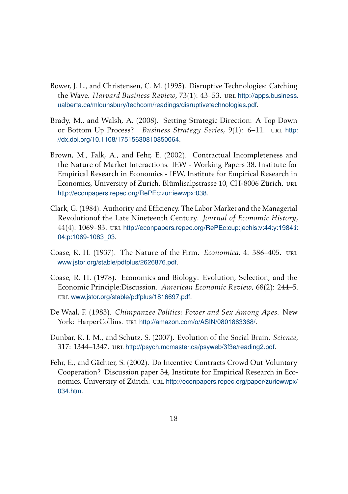- <span id="page-19-0"></span>Bower, J. L., and Christensen, C. M. (1995). Disruptive Technologies: Catching the Wave. *Harvard Business Review*, 73(1): 43–53. url [http://apps.business.](http://apps.business.ualberta.ca/mlounsbury/techcom/readings/disruptive technologies.pdf) [ualberta.ca/mlounsbury/techcom/readings/disruptivetechnologies.pdf](http://apps.business.ualberta.ca/mlounsbury/techcom/readings/disruptive technologies.pdf).
- Brady, M., and Walsh, A. (2008). Setting Strategic Direction: A Top Down or Bottom Up Process? *Business Strategy Series*, 9(1): 6–11. URL [http:](http://dx.doi.org/10.1108/17515630810850064) [//dx.doi.org/10.1108/17515630810850064](http://dx.doi.org/10.1108/17515630810850064).
- Brown, M., Falk, A., and Fehr, E. (2002). Contractual Incompleteness and the Nature of Market Interactions. IEW - Working Papers 38, Institute for Empirical Research in Economics - IEW, Institute for Empirical Research in Economics, University of Zurich, Blümlisalpstrasse 10, CH-8006 Zürich. URL <http://econpapers.repec.org/RePEc:zur:iewwpx:038>.
- Clark, G. (1984). Authority and Efficiency. The Labor Market and the Managerial Revolutionof the Late Nineteenth Century. *Journal of Economic History*, 44(4): 1069–83. url [http://econpapers.repec.org/RePEc:cup:jechis:v:44:y:1984:i:](http://econpapers.repec.org/RePEc:cup:jechis:v:44:y:1984:i:04:p:1069-1083_03) [04:p:1069-1083\\_03](http://econpapers.repec.org/RePEc:cup:jechis:v:44:y:1984:i:04:p:1069-1083_03).
- Coase, R. H. (1937). The Nature of the Firm. *Economica*, 4: 386–405. url <www.jstor.org/stable/pdfplus/2626876.pdf>.
- Coase, R. H. (1978). Economics and Biology: Evolution, Selection, and the Economic Principle:Discussion. *American Economic Review*, 68(2): 244–5. url <www.jstor.org/stable/pdfplus/1816697.pdf>.
- De Waal, F. (1983). *Chimpanzee Politics: Power and Sex Among Apes*. New York: HarperCollins. url <http://amazon.com/o/ASIN/0801863368/>.
- Dunbar, R. I. M., and Schutz, S. (2007). Evolution of the Social Brain. *Science*, 317: 1344–1347. url <http://psych.mcmaster.ca/psyweb/3f3e/reading2.pdf>.
- Fehr, E., and Gächter, S. (2002). Do Incentive Contracts Crowd Out Voluntary Cooperation? Discussion paper 34, Institute for Empirical Research in Economics, University of Zürich. url [http://econpapers.repec.org/paper/zuriewwpx/](http://econpapers.repec.org/paper/zuriewwpx/034.htm) [034.htm](http://econpapers.repec.org/paper/zuriewwpx/034.htm).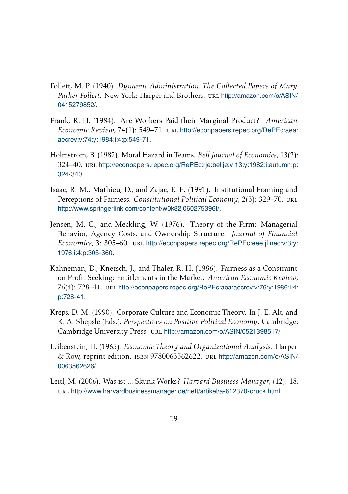- <span id="page-20-0"></span>Follett, M. P. (1940). *Dynamic Administration. The Collected Papers of Mary Parker Follett*. New York: Harper and Brothers. url [http://amazon.com/o/ASIN/](http://amazon.com/o/ASIN/0415279852/) [0415279852/](http://amazon.com/o/ASIN/0415279852/).
- Frank, R. H. (1984). Are Workers Paid their Marginal Product? *American Economic Review, 74(1): 549–71.* url [http://econpapers.repec.org/RePEc:aea:](http://econpapers.repec.org/RePEc:aea:aecrev:v:74:y:1984:i:4:p:549-71) [aecrev:v:74:y:1984:i:4:p:549-71](http://econpapers.repec.org/RePEc:aea:aecrev:v:74:y:1984:i:4:p:549-71).
- Holmstrom, B. (1982). Moral Hazard in Teams. *Bell Journal of Economics*, 13(2): 324–40. url [http://econpapers.repec.org/RePEc:rje:bellje:v:13:y:1982:i:autumn:p:](http://econpapers.repec.org/RePEc:rje:bellje:v:13:y:1982:i:autumn:p:324-340) [324-340](http://econpapers.repec.org/RePEc:rje:bellje:v:13:y:1982:i:autumn:p:324-340).
- Isaac, R. M., Mathieu, D., and Zajac, E. E. (1991). Institutional Framing and Perceptions of Fairness. *Constitutional Political Economy*, 2(3): 329–70. url <http://www.springerlink.com/content/w0k82j060275396t/>.
- Jensen, M. C., and Meckling, W. (1976). Theory of the Firm: Managerial Behavior, Agency Costs, and Ownership Structure. *Journal of Financial Economics*, 3: 305–60. url [http://econpapers.repec.org/RePEc:eee:jfinec:v:3:y:](http://econpapers.repec.org/RePEc:eee:jfinec:v:3:y:1976:i:4:p:305-360) [1976:i:4:p:305-360](http://econpapers.repec.org/RePEc:eee:jfinec:v:3:y:1976:i:4:p:305-360).
- Kahneman, D., Knetsch, J., and Thaler, R. H. (1986). Fairness as a Constraint on Profit Seeking: Entitlements in the Market. *American Economic Review*, 76(4): 728–41. url [http://econpapers.repec.org/RePEc:aea:aecrev:v:76:y:1986:i:4:](http://econpapers.repec.org/RePEc:aea:aecrev:v:76:y:1986:i:4:p:728-41) [p:728-41](http://econpapers.repec.org/RePEc:aea:aecrev:v:76:y:1986:i:4:p:728-41).
- Kreps, D. M. (1990). Corporate Culture and Economic Theory. In J. E. Alt, and K. A. Shepsle (Eds.), *Perspectives on Positive Political Economy*. Cambridge: Cambridge University Press. URL <http://amazon.com/o/ASIN/0521398517/>.
- Leibenstein, H. (1965). *Economic Theory and Organizational Analysis*. Harper & Row, reprint edition. isbn 9780063562622. url [http://amazon.com/o/ASIN/](http://amazon.com/o/ASIN/0063562626/) [0063562626/](http://amazon.com/o/ASIN/0063562626/).
- Leitl, M. (2006). Was ist ... Skunk Works? *Harvard Business Manager*, (12): 18. url <http://www.harvardbusinessmanager.de/heft/artikel/a-612370-druck.html>.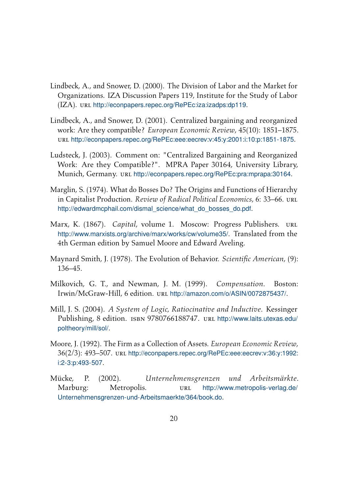- <span id="page-21-0"></span>Lindbeck, A., and Snower, D. (2000). The Division of Labor and the Market for Organizations. IZA Discussion Papers 119, Institute for the Study of Labor (IZA). url <http://econpapers.repec.org/RePEc:iza:izadps:dp119>.
- Lindbeck, A., and Snower, D. (2001). Centralized bargaining and reorganized work: Are they compatible? *European Economic Review*, 45(10): 1851–1875. url <http://econpapers.repec.org/RePEc:eee:eecrev:v:45:y:2001:i:10:p:1851-1875>.
- Ludsteck, J. (2003). Comment on: "Centralized Bargaining and Reorganized Work: Are they Compatible?". MPRA Paper 30164, University Library, Munich, Germany. url <http://econpapers.repec.org/RePEc:pra:mprapa:30164>.
- Marglin, S. (1974). What do Bosses Do? The Origins and Functions of Hierarchy in Capitalist Production. *Review of Radical Political Economics*, 6: 33–66. URL [http://edwardmcphail.com/dismal\\_science/what\\_do\\_bosses\\_do.pdf](http://edwardmcphail.com/dismal_science/what_do_bosses_do.pdf).
- Marx, K. (1867). *Capital*, volume 1. Moscow: Progress Publishers. url <http://www.marxists.org/archive/marx/works/cw/volume35/>. Translated from the 4th German edition by Samuel Moore and Edward Aveling.
- Maynard Smith, J. (1978). The Evolution of Behavior. *Scientific American*, (9): 136–45.
- Milkovich, G. T., and Newman, J. M. (1999). *Compensation*. Boston: Irwin/McGraw-Hill, 6 edition. url <http://amazon.com/o/ASIN/0072875437/>.
- Mill, J. S. (2004). *A System of Logic, Ratiocinative and Inductive*. Kessinger Publishing, 8 edition. ISBN 9780766188747. URL [http://www.laits.utexas.edu/](http://www.laits.utexas.edu/poltheory/mill/sol/) [poltheory/mill/sol/](http://www.laits.utexas.edu/poltheory/mill/sol/).
- Moore, J. (1992). The Firm as a Collection of Assets. *European Economic Review*, 36(2/3): 493–507. url [http://econpapers.repec.org/RePEc:eee:eecrev:v:36:y:1992:](http://econpapers.repec.org/RePEc:eee:eecrev:v:36:y:1992:i:2-3:p:493-507) [i:2-3:p:493-507](http://econpapers.repec.org/RePEc:eee:eecrev:v:36:y:1992:i:2-3:p:493-507).
- Mücke, P. (2002). *Unternehmensgrenzen und Arbeitsmärkte*. Marburg: Metropolis. url [http://www.metropolis-verlag.de/](http://www.metropolis-verlag.de/Unternehmensgrenzen-und-Arbeitsmaerkte/364/book.do) [Unternehmensgrenzen-und-Arbeitsmaerkte/364/book.do](http://www.metropolis-verlag.de/Unternehmensgrenzen-und-Arbeitsmaerkte/364/book.do).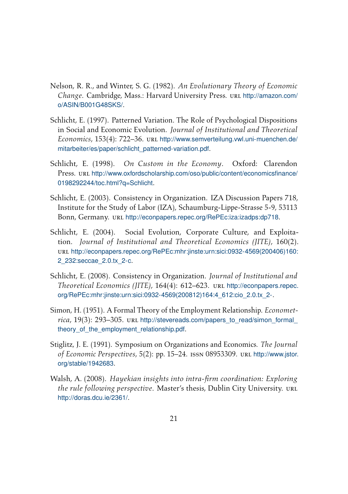- <span id="page-22-0"></span>Nelson, R. R., and Winter, S. G. (1982). *An Evolutionary Theory of Economic Change*. Cambridge, Mass.: Harvard University Press. url [http://amazon.com/](http://amazon.com/o/ASIN/B001G48SKS/) [o/ASIN/B001G48SKS/](http://amazon.com/o/ASIN/B001G48SKS/).
- Schlicht, E. (1997). Patterned Variation. The Role of Psychological Dispositions in Social and Economic Evolution. *Journal of Institutional and Theoretical Economics*, 153(4): 722–36. url [http://www.semverteilung.vwl.uni-muenchen.de/](http://www.semverteilung.vwl.uni-muenchen.de/mitarbeiter/es/paper/schlicht_patterned-variation.pdf) [mitarbeiter/es/paper/schlicht\\_patterned-variation.pdf](http://www.semverteilung.vwl.uni-muenchen.de/mitarbeiter/es/paper/schlicht_patterned-variation.pdf).
- Schlicht, E. (1998). *On Custom in the Economy*. Oxford: Clarendon Press. url [http://www.oxfordscholarship.com/oso/public/content/economicsfinance/](http://www.oxfordscholarship.com/oso/public/content/economicsfinance/0198292244/toc.html?q=Schlicht) [0198292244/toc.html?q=Schlicht](http://www.oxfordscholarship.com/oso/public/content/economicsfinance/0198292244/toc.html?q=Schlicht).
- Schlicht, E. (2003). Consistency in Organization. IZA Discussion Papers 718, Institute for the Study of Labor (IZA), Schaumburg-Lippe-Strasse 5-9, 53113 Bonn, Germany. url <http://econpapers.repec.org/RePEc:iza:izadps:dp718>.
- Schlicht, E. (2004). Social Evolution, Corporate Culture, and Exploitation. *Journal of Institutional and Theoretical Economics (JITE)*, 160(2). url [http://econpapers.repec.org/RePEc:mhr:jinste:urn:sici:0932-4569\(200406\)160:](http://econpapers.repec.org/RePEc:mhr:jinste:urn:sici:0932-4569(200406)160:2_232:seccae_2.0.tx_2-c) [2\\_232:seccae\\_2.0.tx\\_2-c](http://econpapers.repec.org/RePEc:mhr:jinste:urn:sici:0932-4569(200406)160:2_232:seccae_2.0.tx_2-c).
- Schlicht, E. (2008). Consistency in Organization. *Journal of Institutional and Theoretical Economics (JITE)*, 164(4): 612–623. url [http://econpapers.repec.](http://econpapers.repec.org/RePEc:mhr:jinste:urn:sici:0932-4569(200812)164:4_612:cio_2.0.tx_2-) [org/RePEc:mhr:jinste:urn:sici:0932-4569\(200812\)164:4\\_612:cio\\_2.0.tx\\_2-](http://econpapers.repec.org/RePEc:mhr:jinste:urn:sici:0932-4569(200812)164:4_612:cio_2.0.tx_2-).
- Simon, H. (1951). A Formal Theory of the Employment Relationship. *Economet*rica, 19(3): 293–305. url http://stevereads.com/papers\_to\_read/simon\_formal theory of the employment relationship.pdf.
- Stiglitz, J. E. (1991). Symposium on Organizations and Economics. *The Journal of Economic Perspectives*, 5(2): pp. 15–24. issn 08953309. url [http://www.jstor.](http://www.jstor.org/stable/1942683) [org/stable/1942683](http://www.jstor.org/stable/1942683).
- Walsh, A. (2008). *Hayekian insights into intra-firm coordination: Exploring the rule following perspective.* Master's thesis, Dublin City University. URL <http://doras.dcu.ie/2361/>.